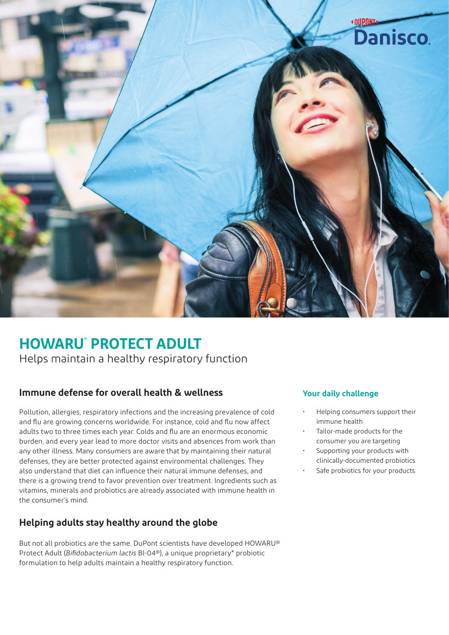

# **HOWARU® PROTECT ADULT**

Helps maintain a healthy respiratory function

### **Immune defense for overall health & wellness**

Pollution, allergies, respiratory infections and the increasing prevalence of cold and flu are growing concerns worldwide. For instance, cold and flu now affect adults two to three times each year. Colds and flu are an enormous economic burden, and every year lead to more doctor visits and absences from work than any other illness. Many consumers are aware that by maintaining their natural defenses, they are better protected against environmental challenges. They also understand that diet can influence their natural immune defenses, and there is a growing trend to favor prevention over treatment. Ingredients such as vitamins, minerals and probiotics are already associated with immune health in the consumer's mind.

#### **Helping adults stay healthy around the globe**

But not all probiotics are the same. DuPont scientists have developed HOWARU® Protect Adult (*Bifidobacterium lactis* Bl-04®), a unique proprietary\* probiotic formulation to help adults maintain a healthy respiratory function.

#### **Your daily challenge**

- Helping consumers support their immune health
- Tailor-made products for the consumer you are targeting
- Supporting your products with clinically-documented probiotics
- Safe probiotics for your products